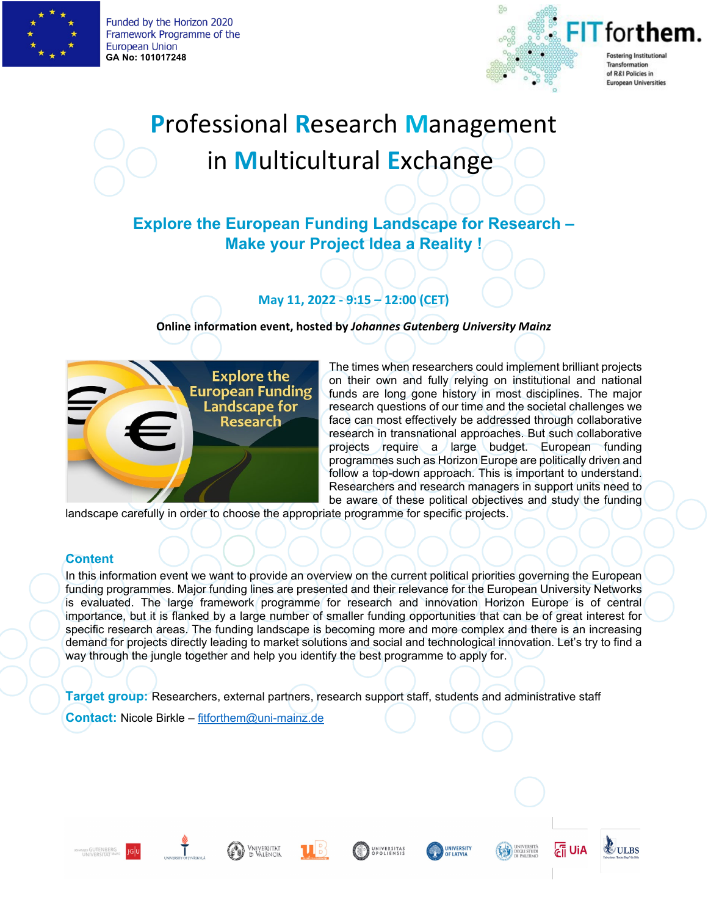

Funded by the Horizon 2020 Framework Programme of the **European Union GA No: 101017248**



# **P**rofessional **R**esearch **M**anagement in **M**ulticultural **E**xchange

## **Explore the European Funding Landscape for Research – Make your Project Idea a Reality !**

### **May 11, 2022 - 9:15 – 12:00 (CET)**

**Online information event, hosted by** *Johannes Gutenberg University Mainz* 



The times when researchers could implement brilliant projects on their own and fully relying on institutional and national funds are long gone history in most disciplines. The major research questions of our time and the societal challenges we face can most effectively be addressed through collaborative research in transnational approaches. But such collaborative projects require a large budget. European funding programmes such as Horizon Europe are politically driven and follow a top-down approach. This is important to understand. Researchers and research managers in support units need to be aware of these political objectives and study the funding

landscape carefully in order to choose the appropriate programme for specific projects.

#### **Content**

In this information event we want to provide an overview on the current political priorities governing the European funding programmes. Major funding lines are presented and their relevance for the European University Networks is evaluated. The large framework programme for research and innovation Horizon Europe is of central importance, but it is flanked by a large number of smaller funding opportunities that can be of great interest for specific research areas. The funding landscape is becoming more and more complex and there is an increasing demand for projects directly leading to market solutions and social and technological innovation. Let's try to find a way through the jungle together and help you identify the best programme to apply for.

**Target group:** Researchers, external partners, research support staff, students and administrative staff

**Contact:** Nicole Birkle – [fitforthem@uni-mainz.de](mailto:fitforthem@uni-mainz.de)